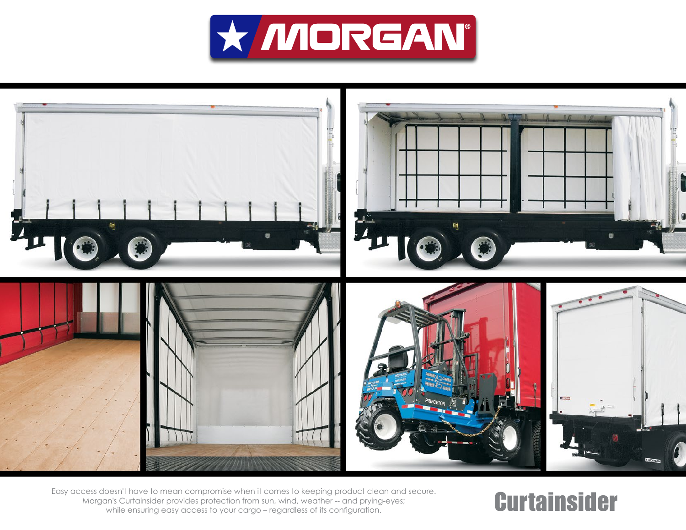



Easy access doesn't have to mean compromise when it comes to keeping product clean and secure.<br>
Morgan's Curtainsider provides protection from sun, wind, weather -- and prying-eyes;<br>
while ensuring easy access to your carg Morgan's Curtainsider provides protection from sun, wind, weather -- and prying-eyes; while ensuring easy access to your cargo – regardless of its configuration.